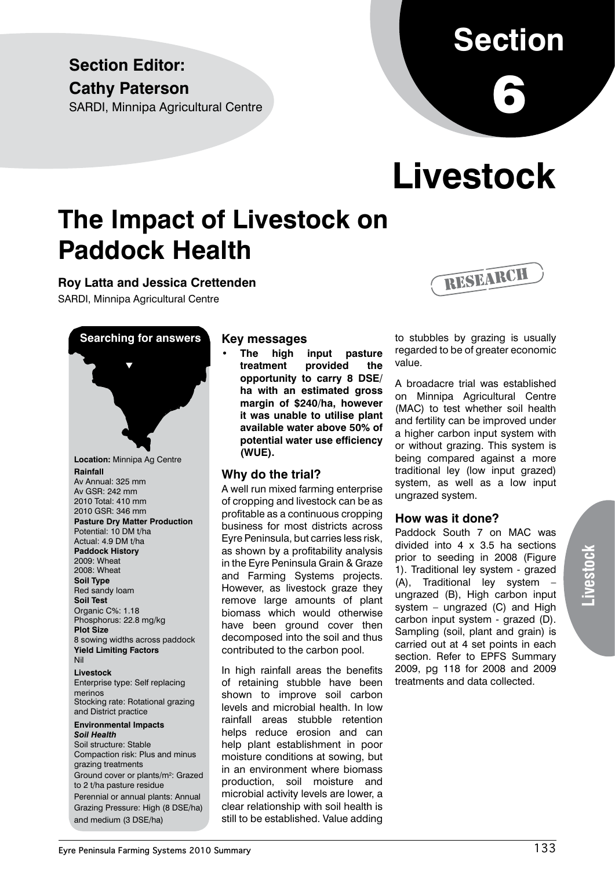### **Section Editor: Cathy Paterson**

SARDI, Minnipa Agricultural Centre

# **Section**

6

# **Livestock**

### **The Impact of Livestock on Paddock Health**

**Roy Latta and Jessica Crettenden**

SARDI, Minnipa Agricultural Centre



#### **Key messages**

**• The high input pasture treatment provided the opportunity to carry 8 DSE/ ha with an estimated gross margin of \$240/ha, however it was unable to utilise plant available water above 50% of potential water use efficiency (WUE).**

#### **Why do the trial?**

A well run mixed farming enterprise of cropping and livestock can be as profitable as a continuous cropping business for most districts across Eyre Peninsula, but carries less risk, as shown by a profitability analysis in the Eyre Peninsula Grain & Graze and Farming Systems projects. However, as livestock graze they remove large amounts of plant biomass which would otherwise have been ground cover then decomposed into the soil and thus contributed to the carbon pool.

In high rainfall areas the benefits of retaining stubble have been shown to improve soil carbon levels and microbial health. In low rainfall areas stubble retention helps reduce erosion and can help plant establishment in poor moisture conditions at sowing, but in an environment where biomass production, soil moisture and microbial activity levels are lower, a clear relationship with soil health is still to be established. Value adding



to stubbles by grazing is usually regarded to be of greater economic value.

A broadacre trial was established on Minnipa Agricultural Centre (MAC) to test whether soil health and fertility can be improved under a higher carbon input system with or without grazing. This system is being compared against a more traditional ley (low input grazed) system, as well as a low input ungrazed system.

#### **How was it done?**

Paddock South 7 on MAC was divided into 4 x 3.5 ha sections prior to seeding in 2008 (Figure 1). Traditional ley system - grazed (A), Traditional ley system – ungrazed (B), High carbon input system – ungrazed (C) and High carbon input system - grazed (D). Sampling (soil, plant and grain) is carried out at 4 set points in each section. Refer to EPFS Summary 2009, pg 118 for 2008 and 2009 treatments and data collected.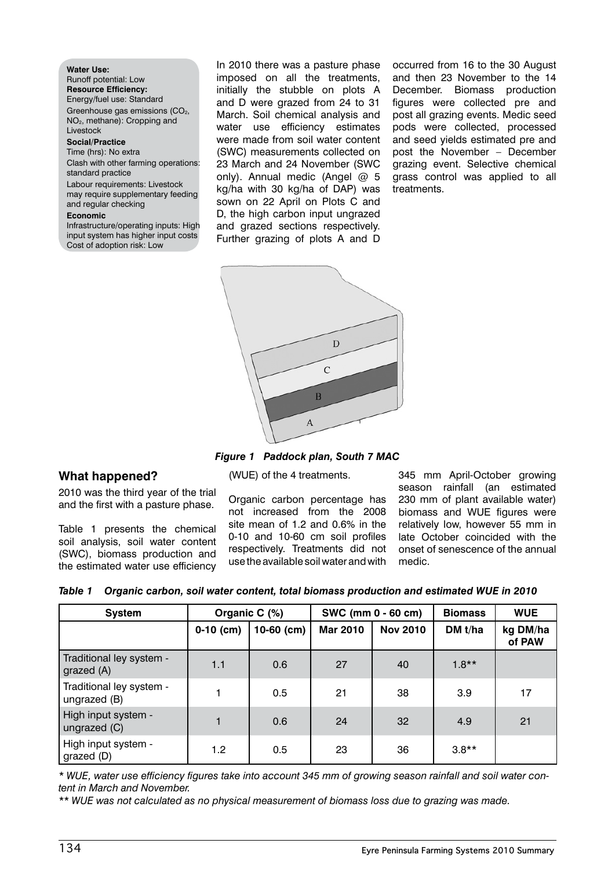**Water Use:** Runoff potential: Low **Resource Efficiency:** Energy/fuel use: Standard Greenhouse gas emissions (CO<sub>2</sub>, NO2, methane): Cropping and Livestock **Social/Practice** Time (hrs): No extra Clash with other farming operations: standard practice Labour requirements: Livestock may require supplementary feeding and regular checking **Economic** Infrastructure/operating inputs: High

input system has higher input costs Cost of adoption risk: Low

In 2010 there was a pasture phase imposed on all the treatments, initially the stubble on plots A and D were grazed from 24 to 31 March. Soil chemical analysis and water use efficiency estimates were made from soil water content (SWC) measurements collected on 23 March and 24 November (SWC only). Annual medic (Angel  $@$  5 kg/ha with 30 kg/ha of DAP) was sown on 22 April on Plots C and D, the high carbon input ungrazed and grazed sections respectively. Further grazing of plots A and D

occurred from 16 to the 30 August and then 23 November to the 14 December. Biomass production figures were collected pre and post all grazing events. Medic seed pods were collected, processed and seed yields estimated pre and post the November – December grazing event. Selective chemical grass control was applied to all treatments.



*Figure 1 Paddock plan, South 7 MAC*

(WUE) of the 4 treatments.

#### **What happened?**

2010 was the third year of the trial and the first with a pasture phase.

Table 1 presents the chemical soil analysis, soil water content (SWC), biomass production and the estimated water use efficiency

Organic carbon percentage has not increased from the 2008 site mean of 1.2 and 0.6% in the 0-10 and 10-60 cm soil profiles respectively. Treatments did not use the available soil water and with

345 mm April-October growing season rainfall (an estimated 230 mm of plant available water) biomass and WUE figures were relatively low, however 55 mm in late October coincided with the onset of senescence of the annual medic.

| <b>System</b>                            |             | Organic C (%) |                 | SWC (mm 0 - 60 cm) | <b>Biomass</b> | <b>WUE</b>         |
|------------------------------------------|-------------|---------------|-----------------|--------------------|----------------|--------------------|
|                                          | $0-10$ (cm) | $10-60$ (cm)  | <b>Mar 2010</b> | <b>Nov 2010</b>    | DM t/ha        | kg DM/ha<br>of PAW |
| Traditional ley system -<br>grazed (A)   | 1.1         | 0.6           | 27              | 40                 | $1.8**$        |                    |
| Traditional ley system -<br>ungrazed (B) |             | 0.5           | 21              | 38                 | 3.9            | 17                 |
| High input system -<br>ungrazed (C)      |             | 0.6           | 24              | 32                 | 4.9            | 21                 |
| High input system -<br>grazed (D)        | 1.2         | 0.5           | 23              | 36                 | $3.8**$        |                    |

*\* WUE, water use efficiency figures take into account 345 mm of growing season rainfall and soil water content in March and November.*

*\*\* WUE was not calculated as no physical measurement of biomass loss due to grazing was made.*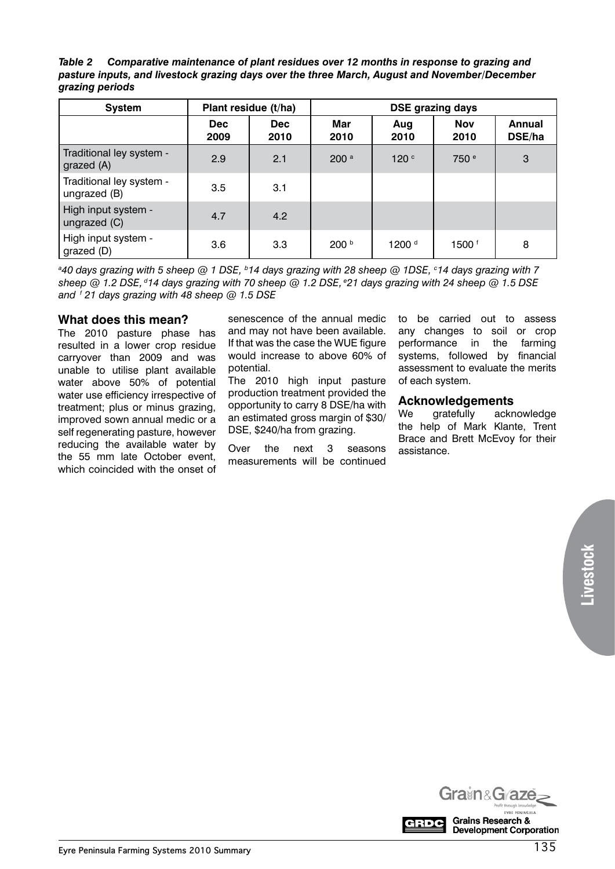*Table 2 Comparative maintenance of plant residues over 12 months in response to grazing and pasture inputs, and livestock grazing days over the three March, August and November/December grazing periods*

| <b>System</b>                            | Plant residue (t/ha) |                    | <b>DSE grazing days</b> |                   |                    |                         |
|------------------------------------------|----------------------|--------------------|-------------------------|-------------------|--------------------|-------------------------|
|                                          | <b>Dec</b><br>2009   | <b>Dec</b><br>2010 | Mar<br>2010             | Aug<br>2010       | <b>Nov</b><br>2010 | <b>Annual</b><br>DSE/ha |
| Traditional ley system -<br>grazed (A)   | 2.9                  | 2.1                | 200 <sup>a</sup>        | 120 <sup>c</sup>  | 750 <sup>e</sup>   | 3                       |
| Traditional ley system -<br>ungrazed (B) | 3.5                  | 3.1                |                         |                   |                    |                         |
| High input system -<br>ungrazed (C)      | 4.7                  | 4.2                |                         |                   |                    |                         |
| High input system -<br>grazed (D)        | 3.6                  | 3.3                | 200 b                   | 1200 <sup>d</sup> | 1500 <sup>f</sup>  | 8                       |

*a 40 days grazing with 5 sheep @ 1 DSE, b14 days grazing with 28 sheep @ 1DSE, c 14 days grazing with 7 sheep @ 1.2 DSE, d14 days grazing with 70 sheep @ 1.2 DSE, e21 days grazing with 24 sheep @ 1.5 DSE and f 21 days grazing with 48 sheep @ 1.5 DSE*

#### **What does this mean?**

The 2010 pasture phase has resulted in a lower crop residue carryover than 2009 and was unable to utilise plant available water above 50% of potential water use efficiency irrespective of treatment; plus or minus grazing, improved sown annual medic or a self regenerating pasture, however reducing the available water by the 55 mm late October event, which coincided with the onset of

senescence of the annual medic and may not have been available. If that was the case the WUE figure would increase to above 60% of potential.

The 2010 high input pasture production treatment provided the opportunity to carry 8 DSE/ha with an estimated gross margin of \$30/ DSE, \$240/ha from grazing.

Over the next 3 seasons measurements will be continued to be carried out to assess any changes to soil or crop performance in the farming systems, followed by financial assessment to evaluate the merits of each system.

#### **Acknowledgements**

We gratefully acknowledge the help of Mark Klante, Trent Brace and Brett McEvoy for their assistance.

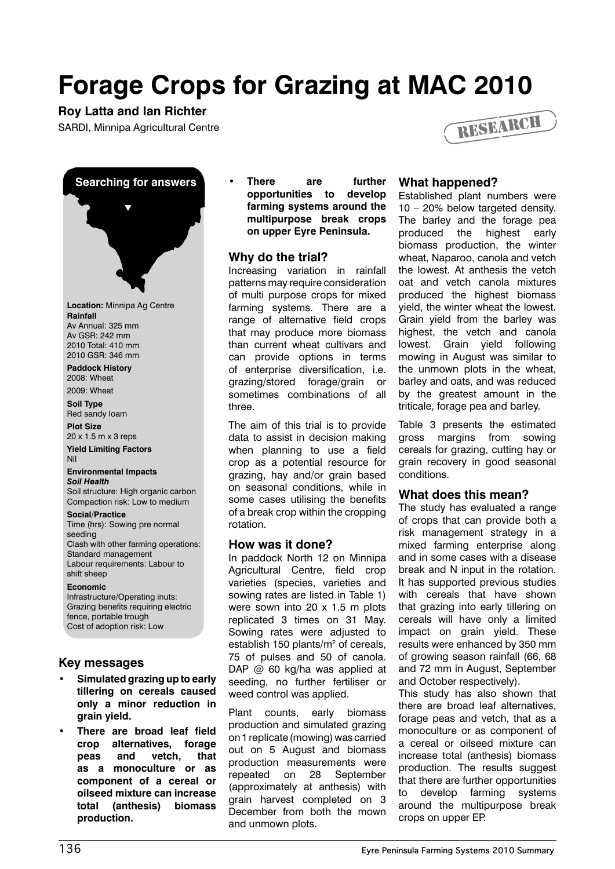## **Forage Crops for Grazing at MAC 2010**

#### **Roy Latta and Ian Richter**

SARDI, Minnipa Agricultural Centre





**Location:** Minnipa Ag Centre **Rainfall** Av Annual: 325 mm Av GSR: 242 mm 2010 Total: 410 mm 2010 GSR: 346 mm

**Paddock History** 2008: Wheat

2009: Wheat

**Soil Type** Red sandy loam

**Plot Size** 20 x 1.5 m x 3 reps

**Yield Limiting Factors** Nil

#### **Environmental Impacts**

*Soil Health* Soil structure: High organic carbon Compaction risk: Low to medium

#### **Social/Practice**

Time (hrs): Sowing pre normal seeding Clash with other farming operations: Standard management Labour requirements: Labour to shift sheep

#### **Economic**

Infrastructure/Operating inuts: Grazing benefits requiring electric fence, portable trough Cost of adoption risk: Low

#### **Key messages**

- **• Simulated grazing up to early tillering on cereals caused only a minor reduction in grain yield.**
- **• There are broad leaf field crop alternatives, forage peas and vetch, that as a monoculture or as component of a cereal or oilseed mixture can increase total (anthesis) biomass production.**

**• There are further opportunities to develop farming systems around the multipurpose break crops on upper Eyre Peninsula.**

#### **Why do the trial?**

Increasing variation in rainfall patterns may require consideration of multi purpose crops for mixed farming systems. There are a range of alternative field crops that may produce more biomass than current wheat cultivars and can provide options in terms of enterprise diversification, i.e. grazing/stored forage/grain or sometimes combinations of all three.

The aim of this trial is to provide data to assist in decision making when planning to use a field crop as a potential resource for grazing, hay and/or grain based on seasonal conditions, while in some cases utilising the benefits of a break crop within the cropping rotation.

#### **How was it done?**

In paddock North 12 on Minnipa Agricultural Centre, field crop varieties (species, varieties and sowing rates are listed in Table 1) were sown into 20 x 1.5 m plots replicated 3 times on 31 May. Sowing rates were adjusted to establish 150 plants/m<sup>2</sup> of cereals, 75 of pulses and 50 of canola. DAP @ 60 kg/ha was applied at seeding, no further fertiliser or weed control was applied.

Plant counts, early biomass production and simulated grazing on 1 replicate (mowing) was carried out on 5 August and biomass production measurements were repeated on 28 September (approximately at anthesis) with grain harvest completed on 3 December from both the mown and unmown plots.

#### **What happened?**

Established plant numbers were 10 – 20% below targeted density. The barley and the forage pea produced the highest early biomass production, the winter wheat, Naparoo, canola and vetch the lowest. At anthesis the vetch oat and vetch canola mixtures produced the highest biomass yield, the winter wheat the lowest. Grain yield from the barley was highest, the vetch and canola lowest. Grain yield following mowing in August was similar to the unmown plots in the wheat, barley and oats, and was reduced by the greatest amount in the triticale, forage pea and barley.

Table 3 presents the estimated gross margins from sowing cereals for grazing, cutting hay or grain recovery in good seasonal conditions.

#### **What does this mean?**

The study has evaluated a range of crops that can provide both a risk management strategy in a mixed farming enterprise along and in some cases with a disease break and N input in the rotation. It has supported previous studies with cereals that have shown that grazing into early tillering on cereals will have only a limited impact on grain yield. These results were enhanced by 350 mm of growing season rainfall (66, 68 and 72 mm in August, September and October respectively).

This study has also shown that there are broad leaf alternatives, forage peas and vetch, that as a monoculture or as component of a cereal or oilseed mixture can increase total (anthesis) biomass production. The results suggest that there are further opportunities to develop farming systems around the multipurpose break crops on upper EP.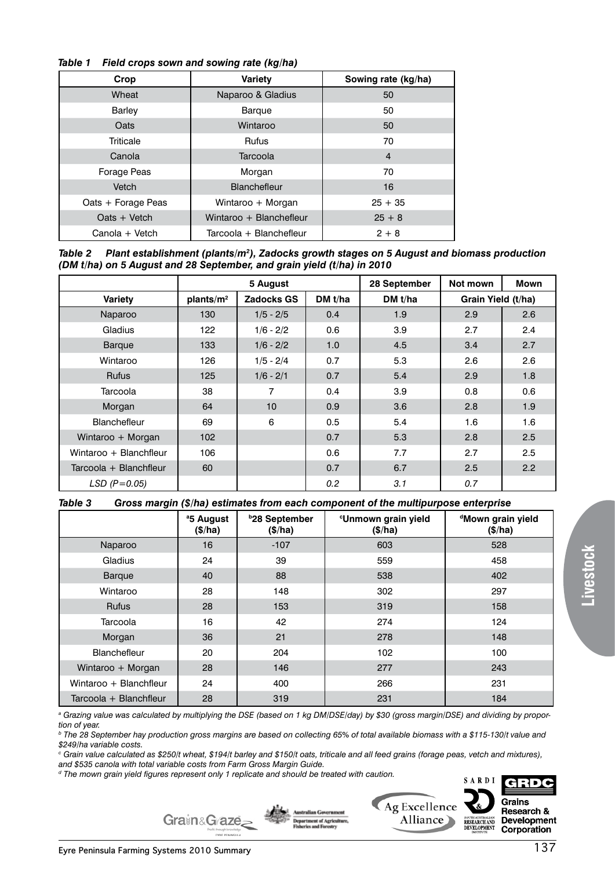#### *Table 1 Field crops sown and sowing rate (kg/ha)*

| Crop               | <b>Variety</b>          | Sowing rate (kg/ha) |
|--------------------|-------------------------|---------------------|
| Wheat              | Naparoo & Gladius       | 50                  |
| Barley             | Barque                  | 50                  |
| Oats               | Wintaroo                | 50                  |
| Triticale          | <b>Rufus</b>            | 70                  |
| Canola             | Tarcoola                | $\overline{4}$      |
| Forage Peas        | Morgan                  | 70                  |
| Vetch              | <b>Blanchefleur</b>     | 16                  |
| Oats + Forage Peas | Wintaroo + Morgan       | $25 + 35$           |
| $Oats + Vetch$     | Wintaroo + Blanchefleur | $25 + 8$            |
| Canola + Vetch     | Tarcoola + Blanchefleur | $2 + 8$             |

*Table 2 Plant establishment (plants/m2 ), Zadocks growth stages on 5 August and biomass production (DM t/ha) on 5 August and 28 September, and grain yield (t/ha) in 2010*

|                        | 5 August              |                   |         | 28 September | Not mown           | Mown |
|------------------------|-----------------------|-------------------|---------|--------------|--------------------|------|
| <b>Variety</b>         | plants/m <sup>2</sup> | <b>Zadocks GS</b> | DM t/ha | DM $t/ha$    | Grain Yield (t/ha) |      |
| Naparoo                | 130                   | $1/5 - 2/5$       | 0.4     | 1.9          | 2.9                | 2.6  |
| Gladius                | 122                   | $1/6 - 2/2$       | 0.6     | 3.9          | 2.7                | 2.4  |
| <b>Barque</b>          | 133                   | $1/6 - 2/2$       | 1.0     | 4.5          | 3.4                | 2.7  |
| Wintaroo               | 126                   | $1/5 - 2/4$       | 0.7     | 5.3          | 2.6                | 2.6  |
| <b>Rufus</b>           | 125                   | $1/6 - 2/1$       | 0.7     | 5.4          | 2.9                | 1.8  |
| Tarcoola               | 38                    | 7                 | 0.4     | 3.9          | 0.8                | 0.6  |
| Morgan                 | 64                    | 10                | 0.9     | 3.6          | 2.8                | 1.9  |
| Blanchefleur           | 69                    | 6                 | 0.5     | 5.4          | 1.6                | 1.6  |
| Wintaroo + Morgan      | 102                   |                   | 0.7     | 5.3          | 2.8                | 2.5  |
| Wintaroo + Blanchfleur | 106                   |                   | 0.6     | 7.7          | 2.7                | 2.5  |
| Tarcoola + Blanchfleur | 60                    |                   | 0.7     | 6.7          | 2.5                | 2.2  |
| $LSD$ ( $P=0.05$ )     |                       |                   | 0.2     | 3.1          | 0.7                |      |

*Table 3 Gross margin (\$/ha) estimates from each component of the multipurpose enterprise*

|                        | <sup>a</sup> 5 August<br>(\$/ha) | <b>b28 September</b><br>(\$/ha) | <sup>c</sup> Unmown grain yield<br>(\$/ha) | <sup>d</sup> Mown grain yield<br>(\$/ha) |
|------------------------|----------------------------------|---------------------------------|--------------------------------------------|------------------------------------------|
| Naparoo                | 16                               | $-107$                          | 603                                        | 528                                      |
| Gladius                | 24                               | 39                              | 559                                        | 458                                      |
| <b>Barque</b>          | 40                               | 88                              | 538                                        | 402                                      |
| Wintaroo               | 28                               | 148                             | 302                                        | 297                                      |
| <b>Rufus</b>           | 28                               | 153                             | 319                                        | 158                                      |
| Tarcoola               | 16                               | 42                              | 274                                        | 124                                      |
| Morgan                 | 36                               | 21                              | 278                                        | 148                                      |
| Blanchefleur           | 20                               | 204                             | 102                                        | 100                                      |
| Wintaroo + Morgan      | 28                               | 146                             | 277                                        | 243                                      |
| Wintaroo + Blanchfleur | 24                               | 400                             | 266                                        | 231                                      |
| Tarcoola + Blanchfleur | 28                               | 319                             | 231                                        | 184                                      |

*a Grazing value was calculated by multiplying the DSE (based on 1 kg DM/DSE/day) by \$30 (gross margin/DSE) and dividing by proportion of year.* 

*b The 28 September hay production gross margins are based on collecting 65% of total available biomass with a \$115-130/t value and \$249/ha variable costs.*

*c Grain value calculated as \$250/t wheat, \$194/t barley and \$150/t oats, triticale and all feed grains (forage peas, vetch and mixtures),* 

*and \$535 canola with total variable costs from Farm Gross Margin Guide.*

*d The mown grain yield figures represent only 1 replicate and should be treated with caution.* 







**Livestock**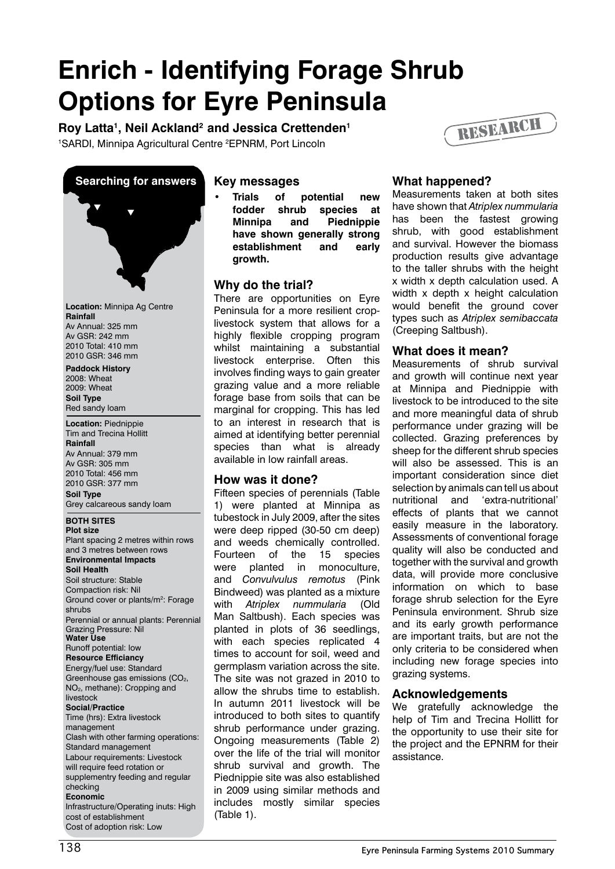### **Enrich - Identifying Forage Shrub Options for Eyre Peninsula** RESEARCH

Roy Latta<sup>1</sup>, Neil Ackland<sup>2</sup> and Jessica Crettenden<sup>1</sup> <sup>1</sup>SARDI, Minnipa Agricultural Centre <sup>2</sup>EPNRM, Port Lincoln



**Location:** Minnipa Ag Centre **Rainfall** Av Annual: 325 mm Av GSR: 242 mm 2010 Total: 410 mm 2010 GSR: 346 mm

**Paddock History** 2008: Wheat 2009: Wheat **Soil Type** Red sandy loam

**Location:** Piednippie Tim and Trecina Hollitt **Rainfall** Av Annual: 379 mm Av GSR: 305 mm 2010 Total: 456 mm 2010 GSR: 377 mm **Soil Type**

Grey calcareous sandy loam

#### **BOTH SITES**

**Plot size** Plant spacing 2 metres within rows and 3 metres between rows **Environmental Impacts Soil Health** Soil structure: Stable Compaction risk: Nil Ground cover or plants/m<sup>2</sup>: Forage shrubs Perennial or annual plants: Perennial Grazing Pressure: Nil **Water Use** Runoff potential: low **Resource Efficiancy** Energy/fuel use: Standard Greenhouse gas emissions (CO<sub>2</sub>, NO2, methane): Cropping and livestock **Social/Practice** Time (hrs): Extra livestock management Clash with other farming operations: Standard management Labour requirements: Livestock will require feed rotation or supplementry feeding and regular checking **Economic** Infrastructure/Operating inuts: High cost of establishment Cost of adoption risk: Low

#### **Key messages**

**• Trials of potential new fodder shrub species at Minnipa and Piednippie have shown generally strong establishment and early growth.** 

#### **Why do the trial?**

There are opportunities on Eyre Peninsula for a more resilient croplivestock system that allows for a highly flexible cropping program whilst maintaining a substantial livestock enterprise. Often this involves finding ways to gain greater grazing value and a more reliable forage base from soils that can be marginal for cropping. This has led to an interest in research that is aimed at identifying better perennial species than what is already available in low rainfall areas.

#### **How was it done?**

Fifteen species of perennials (Table 1) were planted at Minnipa as tubestock in July 2009, after the sites were deep ripped (30-50 cm deep) and weeds chemically controlled. Fourteen of the 15 species were planted in monoculture, and *Convulvulus remotus* (Pink Bindweed) was planted as a mixture with *Atriplex nummularia* (Old Man Saltbush). Each species was planted in plots of 36 seedlings, with each species replicated 4 times to account for soil, weed and germplasm variation across the site. The site was not grazed in 2010 to allow the shrubs time to establish. In autumn 2011 livestock will be introduced to both sites to quantify shrub performance under grazing. Ongoing measurements (Table 2) over the life of the trial will monitor shrub survival and growth. The Piednippie site was also established in 2009 using similar methods and includes mostly similar species (Table 1).

#### **What happened?**

Measurements taken at both sites have shown that *Atriplex nummularia*  has been the fastest growing shrub, with good establishment and survival. However the biomass production results give advantage to the taller shrubs with the height x width x depth calculation used. A width x depth x height calculation would benefit the ground cover types such as *Atriplex semibaccata*  (Creeping Saltbush).

#### **What does it mean?**

Measurements of shrub survival and growth will continue next year at Minnipa and Piednippie with livestock to be introduced to the site and more meaningful data of shrub performance under grazing will be collected. Grazing preferences by sheep for the different shrub species will also be assessed. This is an important consideration since diet selection by animals can tell us about nutritional and 'extra-nutritional' effects of plants that we cannot easily measure in the laboratory. Assessments of conventional forage quality will also be conducted and together with the survival and growth data, will provide more conclusive information on which to base forage shrub selection for the Eyre Peninsula environment. Shrub size and its early growth performance are important traits, but are not the only criteria to be considered when including new forage species into grazing systems.

#### **Acknowledgements**

We gratefully acknowledge the help of Tim and Trecina Hollitt for the opportunity to use their site for the project and the EPNRM for their assistance.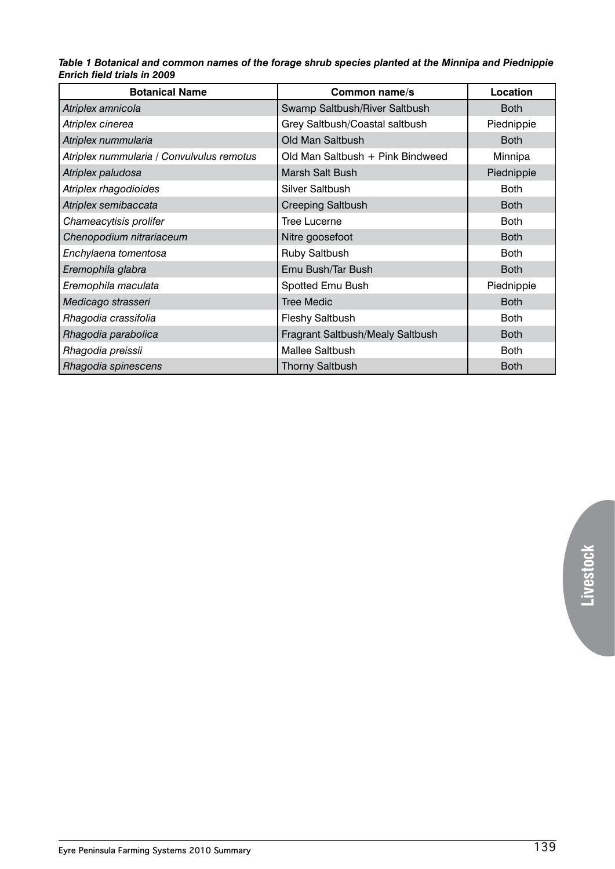#### *Table 1 Botanical and common names of the forage shrub species planted at the Minnipa and Piednippie Enrich field trials in 2009*

| <b>Botanical Name</b>                     | Common name/s                    | Location    |
|-------------------------------------------|----------------------------------|-------------|
| Atriplex amnicola                         | Swamp Saltbush/River Saltbush    | <b>Both</b> |
| Atriplex cinerea                          | Grey Saltbush/Coastal saltbush   | Piednippie  |
| Atriplex nummularia                       | Old Man Saltbush                 | <b>Both</b> |
| Atriplex nummularia / Convulvulus remotus | Old Man Saltbush + Pink Bindweed | Minnipa     |
| Atriplex paludosa                         | Marsh Salt Bush                  | Piednippie  |
| Atriplex rhagodioides                     | <b>Silver Saltbush</b>           | <b>Both</b> |
| Atriplex semibaccata                      | <b>Creeping Saltbush</b>         | <b>Both</b> |
| Chameacytisis prolifer                    | <b>Tree Lucerne</b>              | <b>Both</b> |
| Chenopodium nitrariaceum                  | Nitre goosefoot                  | <b>Both</b> |
| Enchylaena tomentosa                      | Ruby Saltbush                    | <b>Both</b> |
| Eremophila glabra                         | Emu Bush/Tar Bush                | <b>Both</b> |
| Eremophila maculata                       | Spotted Emu Bush                 | Piednippie  |
| Medicago strasseri                        | <b>Tree Medic</b>                | <b>Both</b> |
| Rhagodia crassifolia                      | Fleshy Saltbush                  | <b>Both</b> |
| Rhagodia parabolica                       | Fragrant Saltbush/Mealy Saltbush | <b>Both</b> |
| Rhagodia preissii                         | <b>Mallee Saltbush</b>           | <b>Both</b> |
| Rhagodia spinescens                       | <b>Thorny Saltbush</b>           | <b>Both</b> |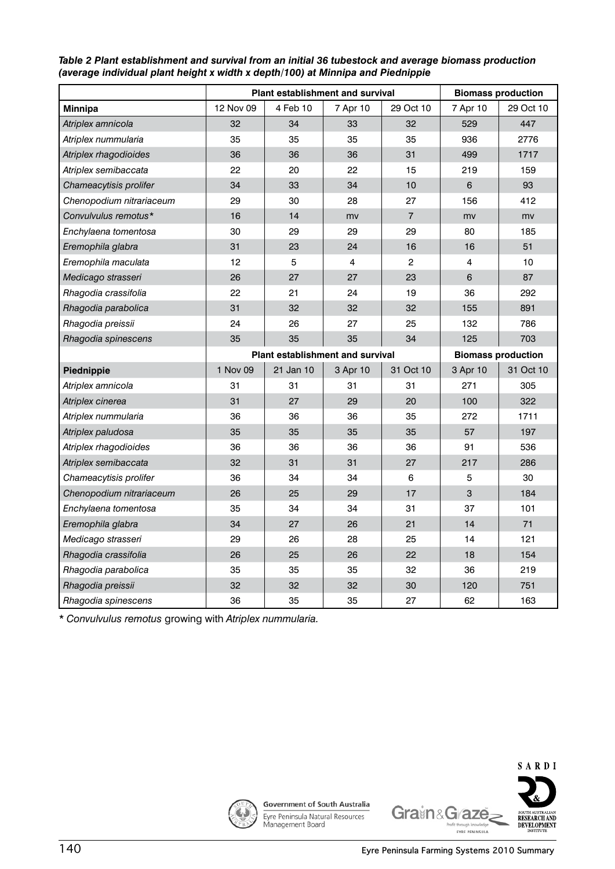|                          | <b>Plant establishment and survival</b> |           |                                         |                | <b>Biomass production</b> |           |
|--------------------------|-----------------------------------------|-----------|-----------------------------------------|----------------|---------------------------|-----------|
| <b>Minnipa</b>           | 12 Nov 09                               | 4 Feb 10  | 7 Apr 10                                | 29 Oct 10      | 7 Apr 10                  | 29 Oct 10 |
| Atriplex amnicola        | 32                                      | 34        | 33                                      | 32             | 529                       | 447       |
| Atriplex nummularia      | 35                                      | 35        | 35                                      | 35             | 936                       | 2776      |
| Atriplex rhagodioides    | 36                                      | 36        | 36                                      | 31             | 499                       | 1717      |
| Atriplex semibaccata     | 22                                      | 20        | 22                                      | 15             | 219                       | 159       |
| Chameacytisis prolifer   | 34                                      | 33        | 34                                      | 10             | $6\phantom{1}6$           | 93        |
| Chenopodium nitrariaceum | 29                                      | 30        | 28                                      | 27             | 156                       | 412       |
| Convulvulus remotus*     | 16                                      | 14        | my                                      | $\overline{7}$ | mv                        | mv        |
| Enchylaena tomentosa     | 30                                      | 29        | 29                                      | 29             | 80                        | 185       |
| Eremophila glabra        | 31                                      | 23        | 24                                      | 16             | 16                        | 51        |
| Eremophila maculata      | 12                                      | 5         | 4                                       | 2              | 4                         | 10        |
| Medicago strasseri       | 26                                      | 27        | 27                                      | 23             | $6\phantom{a}$            | 87        |
| Rhagodia crassifolia     | 22                                      | 21        | 24                                      | 19             | 36                        | 292       |
| Rhagodia parabolica      | 31                                      | 32        | 32                                      | 32             | 155                       | 891       |
| Rhagodia preissii        | 24                                      | 26        | 27                                      | 25             | 132                       | 786       |
| Rhagodia spinescens      | 35                                      | 35        | 35                                      | 34             | 125                       | 703       |
|                          |                                         |           | <b>Plant establishment and survival</b> |                | <b>Biomass production</b> |           |
| Piednippie               | 1 Nov 09                                | 21 Jan 10 | 3 Apr 10                                | 31 Oct 10      | 3 Apr 10                  | 31 Oct 10 |
| Atriplex amnicola        | 31                                      | 31        | 31                                      | 31             | 271                       | 305       |
| Atriplex cinerea         | 31                                      | 27        | 29                                      | 20             | 100                       | 322       |
| Atriplex nummularia      | 36                                      | 36        | 36                                      | 35             | 272                       | 1711      |
| Atriplex paludosa        | 35                                      | 35        | 35                                      | 35             | 57                        | 197       |
| Atriplex rhagodioides    | 36                                      | 36        | 36                                      | 36             | 91                        | 536       |
| Atriplex semibaccata     | 32                                      | 31        | 31                                      | 27             | 217                       | 286       |
| Chameacytisis prolifer   | 36                                      | 34        | 34                                      | 6              | 5                         | 30        |
| Chenopodium nitrariaceum | 26                                      | 25        | 29                                      | 17             | 3                         | 184       |
| Enchylaena tomentosa     | 35                                      | 34        | 34                                      | 31             | 37                        | 101       |
| Eremophila glabra        | 34                                      | 27        | 26                                      | 21             | 14                        | 71        |
| Medicago strasseri       | 29                                      | 26        | 28                                      | 25             | 14                        | 121       |
| Rhagodia crassifolia     | 26                                      | 25        | 26                                      | 22             | 18                        | 154       |
| Rhagodia parabolica      | 35                                      | 35        | 35                                      | 32             | 36                        | 219       |
| Rhagodia preissii        | 32                                      | 32        | 32                                      | 30             | 120                       | 751       |
| Rhagodia spinescens      | 36                                      | 35        | 35                                      | 27             | 62                        | 163       |

#### *Table 2 Plant establishment and survival from an initial 36 tubestock and average biomass production (average individual plant height x width x depth/100) at Minnipa and Piednippie*

*\* Convulvulus remotus* growing with *Atriplex nummularia.*



Government of South Australia Eyre Peninsula Natural Resources<br>Management Board



**SARDI**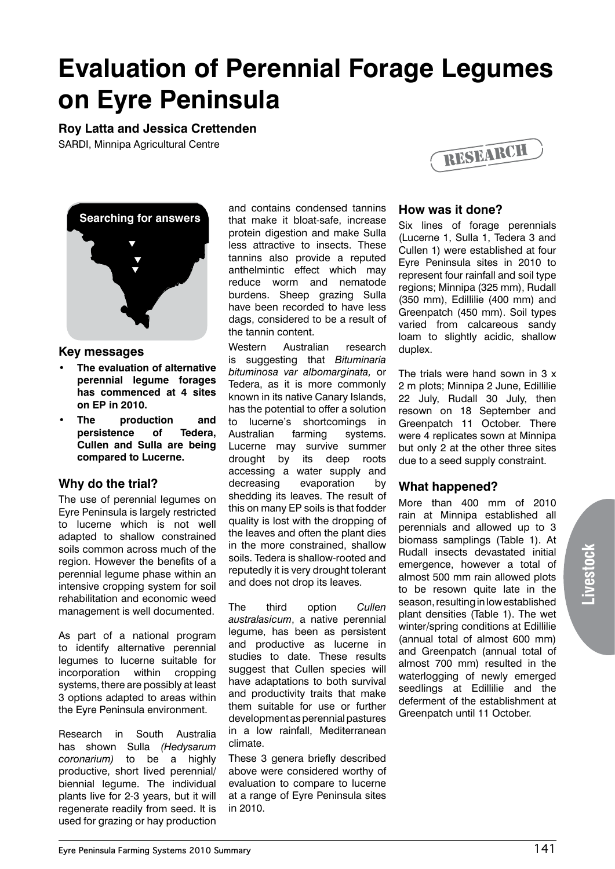### **Evaluation of Perennial Forage Legumes on Eyre Peninsula**

#### **Roy Latta and Jessica Crettenden**

SARDI, Minnipa Agricultural Centre



#### **Key messages**

- **• The evaluation of alternative perennial legume forages has commenced at 4 sites on EP in 2010.**
- **• The production and persistence of Tedera, Cullen and Sulla are being compared to Lucerne.**

#### **Why do the trial?**

The use of perennial legumes on Eyre Peninsula is largely restricted to lucerne which is not well adapted to shallow constrained soils common across much of the region. However the benefits of a perennial legume phase within an intensive cropping system for soil rehabilitation and economic weed management is well documented.

As part of a national program to identify alternative perennial legumes to lucerne suitable for incorporation within cropping systems, there are possibly at least 3 options adapted to areas within the Eyre Peninsula environment.

Research in South Australia has shown Sulla *(Hedysarum coronarium)* to be a highly productive, short lived perennial/ biennial legume. The individual plants live for 2-3 years, but it will regenerate readily from seed. It is used for grazing or hay production and contains condensed tannins that make it bloat-safe, increase protein digestion and make Sulla less attractive to insects. These tannins also provide a reputed anthelmintic effect which may reduce worm and nematode burdens. Sheep grazing Sulla have been recorded to have less dags, considered to be a result of the tannin content.

Western Australian research is suggesting that *Bituminaria bituminosa var albomarginata,* or Tedera, as it is more commonly known in its native Canary Islands, has the potential to offer a solution to lucerne's shortcomings in Australian farming systems. Lucerne may survive summer drought by its deep roots accessing a water supply and decreasing evaporation by shedding its leaves. The result of this on many EP soils is that fodder quality is lost with the dropping of the leaves and often the plant dies in the more constrained, shallow soils. Tedera is shallow-rooted and reputedly it is very drought tolerant and does not drop its leaves.

The third option *Cullen australasicum*, a native perennial legume, has been as persistent and productive as lucerne in studies to date. These results suggest that Cullen species will have adaptations to both survival and productivity traits that make them suitable for use or further development as perennial pastures in a low rainfall, Mediterranean climate.

These 3 genera briefly described above were considered worthy of evaluation to compare to lucerne at a range of Eyre Peninsula sites in 2010.



#### **How was it done?**

Six lines of forage perennials (Lucerne 1, Sulla 1, Tedera 3 and Cullen 1) were established at four Eyre Peninsula sites in 2010 to represent four rainfall and soil type regions; Minnipa (325 mm), Rudall (350 mm), Edillilie (400 mm) and Greenpatch (450 mm). Soil types varied from calcareous sandy loam to slightly acidic, shallow duplex.

The trials were hand sown in 3 x 2 m plots; Minnipa 2 June, Edillilie 22 July, Rudall 30 July, then resown on 18 September and Greenpatch 11 October. There were 4 replicates sown at Minnipa but only 2 at the other three sites due to a seed supply constraint.

#### **What happened?**

More than 400 mm of 2010 rain at Minnipa established all perennials and allowed up to 3 biomass samplings (Table 1). At Rudall insects devastated initial emergence, however a total of almost 500 mm rain allowed plots to be resown quite late in the season, resulting in low established plant densities (Table 1). The wet winter/spring conditions at Edillilie (annual total of almost 600 mm) and Greenpatch (annual total of almost 700 mm) resulted in the waterlogging of newly emerged seedlings at Edillilie and the deferment of the establishment at Greenpatch until 11 October.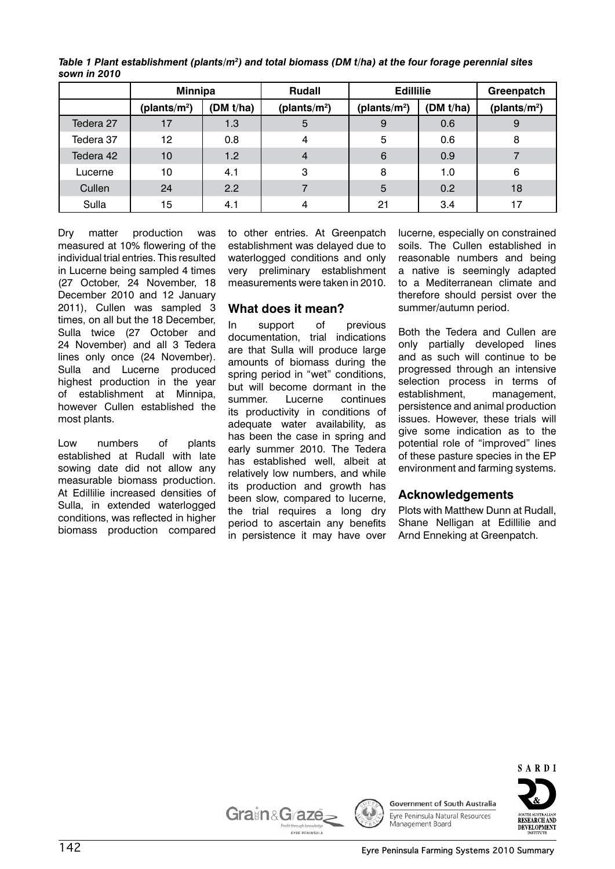|           | <b>Minnipa</b>           |           | <b>Rudall</b>    | <b>Edillilie</b> |           | Greenpatch      |
|-----------|--------------------------|-----------|------------------|------------------|-----------|-----------------|
|           | (plants/m <sup>2</sup> ) | (DM t/ha) | (plants/ $m^2$ ) | (plants/ $m^2$ ) | (DM t/ha) | (plants/ $m2$ ) |
| Tedera 27 | 17                       | 1.3       | 5                | -9               | 0.6       | 9               |
| Tedera 37 | 12                       | 0.8       | 4                | 5                | 0.6       | 8               |
| Tedera 42 | 10                       | 1.2       | $\overline{4}$   | 6                | 0.9       |                 |
| Lucerne   | 10                       | 4.1       | 3                | 8                | 1.0       | 6               |
| Cullen    | 24                       | 2.2       |                  | 5                | 0.2       | 18              |
| Sulla     | 15                       | 4.1       | $\overline{4}$   | 21               | 3.4       | 17              |

*Table 1 Plant establishment (plants/m2 ) and total biomass (DM t/ha) at the four forage perennial sites sown in 2010*

Dry matter production was measured at 10% flowering of the individual trial entries. This resulted in Lucerne being sampled 4 times (27 October, 24 November, 18 December 2010 and 12 January 2011), Cullen was sampled 3 times, on all but the 18 December, Sulla twice (27 October and 24 November) and all 3 Tedera lines only once (24 November). Sulla and Lucerne produced highest production in the year of establishment at Minnipa, however Cullen established the most plants.

Low numbers of plants established at Rudall with late sowing date did not allow any measurable biomass production. At Edillilie increased densities of Sulla, in extended waterlogged conditions, was reflected in higher biomass production compared

to other entries. At Greenpatch establishment was delayed due to waterlogged conditions and only very preliminary establishment measurements were taken in 2010.

#### **What does it mean?**

In support of previous documentation, trial indications are that Sulla will produce large amounts of biomass during the spring period in "wet" conditions, but will become dormant in the summer. Lucerne continues its productivity in conditions of adequate water availability, as has been the case in spring and early summer 2010. The Tedera has established well, albeit at relatively low numbers, and while its production and growth has been slow, compared to lucerne, the trial requires a long dry period to ascertain any benefits in persistence it may have over

lucerne, especially on constrained soils. The Cullen established in reasonable numbers and being a native is seemingly adapted to a Mediterranean climate and therefore should persist over the summer/autumn period.

Both the Tedera and Cullen are only partially developed lines and as such will continue to be progressed through an intensive selection process in terms of establishment, management, persistence and animal production issues. However, these trials will give some indication as to the potential role of "improved" lines of these pasture species in the EP environment and farming systems.

#### **Acknowledgements**

Plots with Matthew Dunn at Rudall, Shane Nelligan at Edillilie and Arnd Enneking at Greenpatch.



**DEVELOPMENT** 

Grain&G<sub>aze</sub>

EYRE PENINSULA



**Government of South Australia** Eyre Peninsula Natural Resources Management Board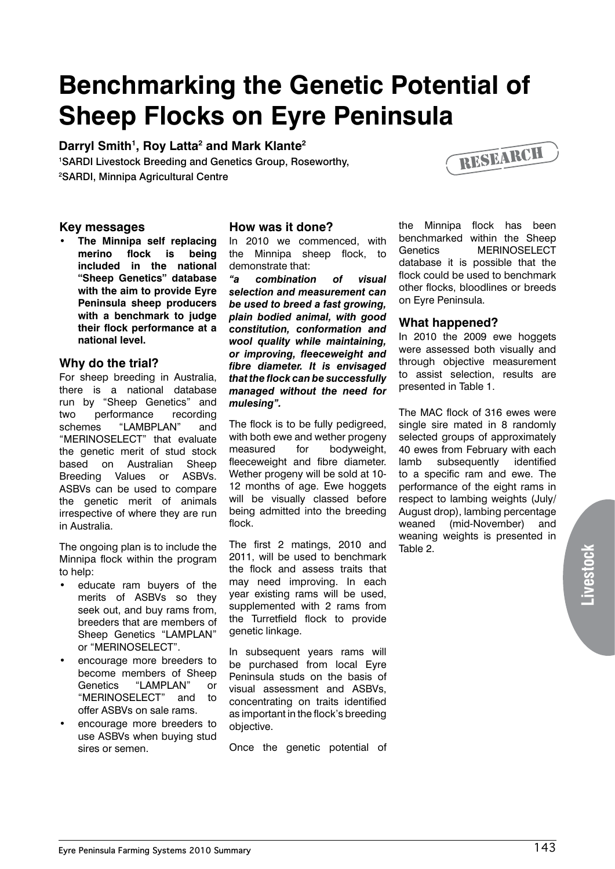### **Benchmarking the Genetic Potential of Sheep Flocks on Eyre Peninsula**

#### Darryl Smith<sup>1</sup>, Roy Latta<sup>2</sup> and Mark Klante<sup>2</sup>

1 SARDI Livestock Breeding and Genetics Group, Roseworthy, 2 SARDI, Minnipa Agricultural Centre



**• The Minnipa self replacing merino flock is being included in the national "Sheep Genetics" database with the aim to provide Eyre Peninsula sheep producers with a benchmark to judge their flock performance at a national level.** 

#### **Why do the trial?**

For sheep breeding in Australia, there is a national database run by "Sheep Genetics" and two performance recording schemes "LAMBPLAN" and "MERINOSELECT" that evaluate the genetic merit of stud stock based on Australian Sheep Breeding Values or ASBVs. ASBVs can be used to compare the genetic merit of animals irrespective of where they are run in Australia.

The ongoing plan is to include the Minnipa flock within the program to help:

- educate ram buyers of the merits of ASBVs so they seek out, and buy rams from, breeders that are members of Sheep Genetics "LAMPLAN" or "MERINOSELECT".
- encourage more breeders to become members of Sheep Genetics "LAMPLAN" or "MERINOSELECT" and to offer ASBVs on sale rams.
- encourage more breeders to use ASBVs when buying stud sires or semen.

#### **How was it done?**

In 2010 we commenced, with the Minnipa sheep flock, to demonstrate that:

*"a combination of visual selection and measurement can be used to breed a fast growing, plain bodied animal, with good constitution, conformation and wool quality while maintaining, or improving, fleeceweight and fibre diameter. It is envisaged that the flock can be successfully managed without the need for mulesing".*

The flock is to be fully pedigreed, with both ewe and wether progeny measured for bodyweight, fleeceweight and fibre diameter. Wether progeny will be sold at 10- 12 months of age. Ewe hoggets will be visually classed before being admitted into the breeding flock.

The first 2 matings, 2010 and 2011, will be used to benchmark the flock and assess traits that may need improving. In each year existing rams will be used, supplemented with 2 rams from the Turretfield flock to provide genetic linkage.

In subsequent years rams will be purchased from local Eyre Peninsula studs on the basis of visual assessment and ASBVs, concentrating on traits identified as important in the flock's breeding objective.

Once the genetic potential of

the Minnipa flock has been benchmarked within the Sheep Genetics MERINOSELECT database it is possible that the flock could be used to benchmark other flocks, bloodlines or breeds on Eyre Peninsula.

#### **What happened?**

In 2010 the 2009 ewe hoggets were assessed both visually and through objective measurement to assist selection, results are presented in Table 1.

The MAC flock of 316 ewes were single sire mated in 8 randomly selected groups of approximately 40 ewes from February with each lamb subsequently identified to a specific ram and ewe. The performance of the eight rams in respect to lambing weights (July/ August drop), lambing percentage weaned (mid-November) and weaning weights is presented in Table 2.

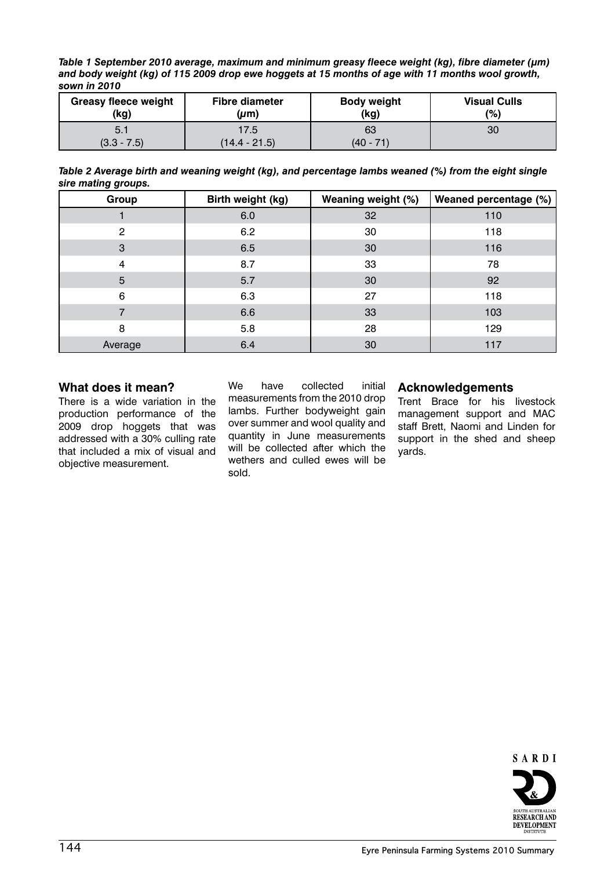*Table 1 September 2010 average, maximum and minimum greasy fleece weight (kg), fibre diameter (µm) and body weight (kg) of 115 2009 drop ewe hoggets at 15 months of age with 11 months wool growth, sown in 2010*

| <b>Greasy fleece weight</b> | <b>Fibre diameter</b> | <b>Body weight</b> | <b>Visual Culls</b> |
|-----------------------------|-----------------------|--------------------|---------------------|
| (kg)                        | $(\mu m)$             | (kg)               | $\frac{1}{2}$       |
| 5.1                         | 17.5                  | 63                 | 30                  |
| $(3.3 - 7.5)$               | (14.4 - 21.5)         | $(40 - 71)$        |                     |

*Table 2 Average birth and weaning weight (kg), and percentage lambs weaned (%) from the eight single sire mating groups.*

| Group          | Birth weight (kg) | Weaning weight (%) | Weaned percentage (%) |
|----------------|-------------------|--------------------|-----------------------|
|                | 6.0               | 32                 | 110                   |
| $\overline{2}$ | 6.2               | 30                 | 118                   |
| 3              | 6.5               | 30                 | 116                   |
| 4              | 8.7               | 33                 | 78                    |
| 5              | 5.7               | 30                 | 92                    |
| 6              | 6.3               | 27                 | 118                   |
| 7              | 6.6               | 33                 | 103                   |
| 8              | 5.8               | 28                 | 129                   |
| Average        | 6.4               | 30                 | 117                   |

#### **What does it mean?**

There is a wide variation in the production performance of the 2009 drop hoggets that was addressed with a 30% culling rate that included a mix of visual and objective measurement.

We have collected initial measurements from the 2010 drop lambs. Further bodyweight gain over summer and wool quality and quantity in June measurements will be collected after which the wethers and culled ewes will be sold.

#### **Acknowledgements**

Trent Brace for his livestock management support and MAC staff Brett, Naomi and Linden for support in the shed and sheep yards.

SARDI

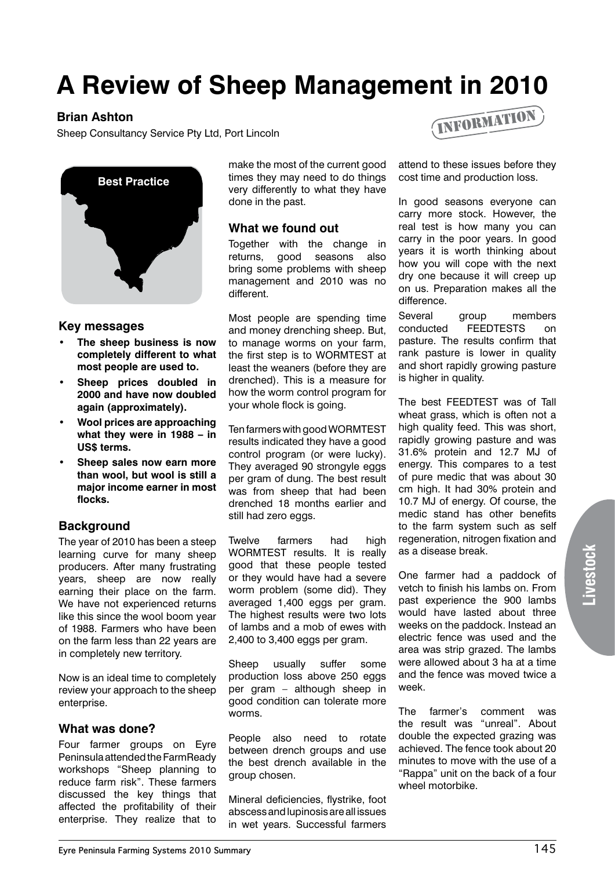## **A Review of Sheep Management in 2010**

#### **Brian Ashton**

Sheep Consultancy Service Pty Ltd, Port Lincoln



#### **Key messages**

- **• The sheep business is now completely different to what most people are used to.**
- **• Sheep prices doubled in 2000 and have now doubled again (approximately).**
- **• Wool prices are approaching what they were in 1988 – in US\$ terms.**
- **• Sheep sales now earn more than wool, but wool is still a major income earner in most flocks.**

#### **Background**

The year of 2010 has been a steep learning curve for many sheep producers. After many frustrating years, sheep are now really earning their place on the farm. We have not experienced returns like this since the wool boom year of 1988. Farmers who have been on the farm less than 22 years are in completely new territory.

Now is an ideal time to completely review your approach to the sheep enterprise.

#### **What was done?**

Four farmer groups on Eyre Peninsula attended the FarmReady workshops "Sheep planning to reduce farm risk". These farmers discussed the key things that affected the profitability of their enterprise. They realize that to

make the most of the current good times they may need to do things very differently to what they have done in the past.

#### **What we found out**

Together with the change in returns, good seasons also bring some problems with sheep management and 2010 was no different.

Most people are spending time and money drenching sheep. But, to manage worms on your farm, the first step is to WORMTEST at least the weaners (before they are drenched). This is a measure for how the worm control program for your whole flock is going.

Ten farmers with good WORMTEST results indicated they have a good control program (or were lucky). They averaged 90 strongyle eggs per gram of dung. The best result was from sheep that had been drenched 18 months earlier and still had zero eggs.

Twelve farmers had high WORMTEST results. It is really good that these people tested or they would have had a severe worm problem (some did). They averaged 1,400 eggs per gram. The highest results were two lots of lambs and a mob of ewes with 2,400 to 3,400 eggs per gram.

Sheep usually suffer some production loss above 250 eggs per gram – although sheep in good condition can tolerate more worms.

People also need to rotate between drench groups and use the best drench available in the group chosen.

Mineral deficiencies, flystrike, foot abscess and lupinosis are all issues in wet years. Successful farmers



attend to these issues before they cost time and production loss.

In good seasons everyone can carry more stock. However, the real test is how many you can carry in the poor years. In good years it is worth thinking about how you will cope with the next dry one because it will creep up on us. Preparation makes all the difference.

Several group members conducted FEEDTESTS on pasture. The results confirm that rank pasture is lower in quality and short rapidly growing pasture is higher in quality.

The best FEEDTEST was of Tall wheat grass, which is often not a high quality feed. This was short, rapidly growing pasture and was 31.6% protein and 12.7 MJ of energy. This compares to a test of pure medic that was about 30 cm high. It had 30% protein and 10.7 MJ of energy. Of course, the medic stand has other benefits to the farm system such as self regeneration, nitrogen fixation and as a disease break.

One farmer had a paddock of vetch to finish his lambs on. From past experience the 900 lambs would have lasted about three weeks on the paddock. Instead an electric fence was used and the area was strip grazed. The lambs were allowed about 3 ha at a time and the fence was moved twice a week.

The farmer's comment was the result was "unreal". About double the expected grazing was achieved. The fence took about 20 minutes to move with the use of a "Rappa" unit on the back of a four wheel motorbike.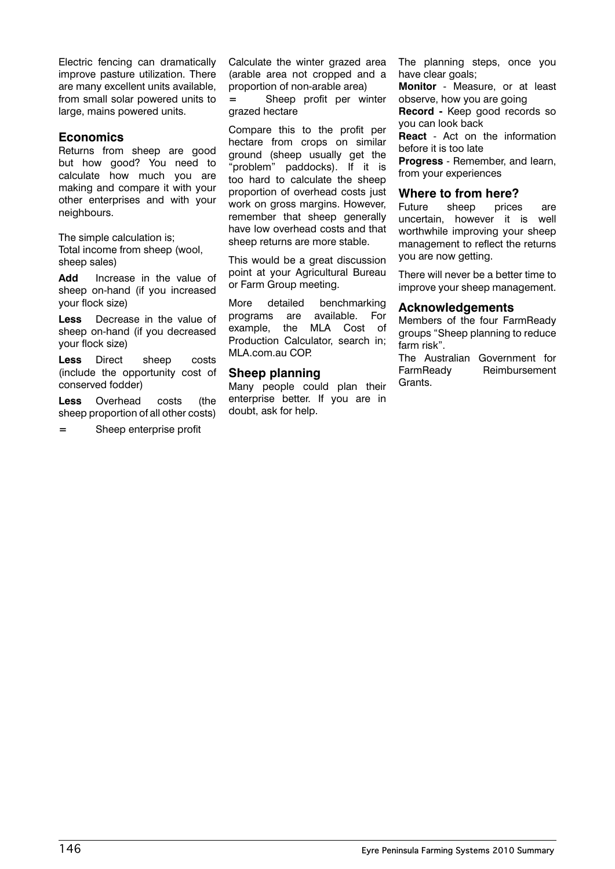Electric fencing can dramatically improve pasture utilization. There are many excellent units available, from small solar powered units to large, mains powered units.

#### **Economics**

Returns from sheep are good but how good? You need to calculate how much you are making and compare it with your other enterprises and with your neighbours.

The simple calculation is; Total income from sheep (wool, sheep sales)

**Add** Increase in the value of sheep on-hand (if you increased your flock size)

**Less** Decrease in the value of sheep on-hand (if you decreased your flock size)

**Less** Direct sheep costs (include the opportunity cost of conserved fodder)

**Less** Overhead costs (the sheep proportion of all other costs)

**=** Sheep enterprise profit

Calculate the winter grazed area (arable area not cropped and a proportion of non-arable area) **=** Sheep profit per winter grazed hectare

Compare this to the profit per hectare from crops on similar ground (sheep usually get the "problem" paddocks). If it is too hard to calculate the sheep proportion of overhead costs just work on gross margins. However, remember that sheep generally have low overhead costs and that sheep returns are more stable.

This would be a great discussion point at your Agricultural Bureau or Farm Group meeting.

More detailed benchmarking programs are available. For example, the MLA Cost of Production Calculator, search in; MLA.com.au COP.

#### **Sheep planning**

Many people could plan their enterprise better. If you are in doubt, ask for help.

The planning steps, once you have clear goals;

**Monitor** - Measure, or at least observe, how you are going

**Record -** Keep good records so you can look back

**React** - Act on the information before it is too late

**Progress** - Remember, and learn, from your experiences

#### **Where to from here?**

Future sheep prices are uncertain, however it is well worthwhile improving your sheep management to reflect the returns you are now getting.

There will never be a better time to improve your sheep management.

#### **Acknowledgements**

Members of the four FarmReady groups "Sheep planning to reduce farm risk".

The Australian Government for FarmReady Reimbursement Grants.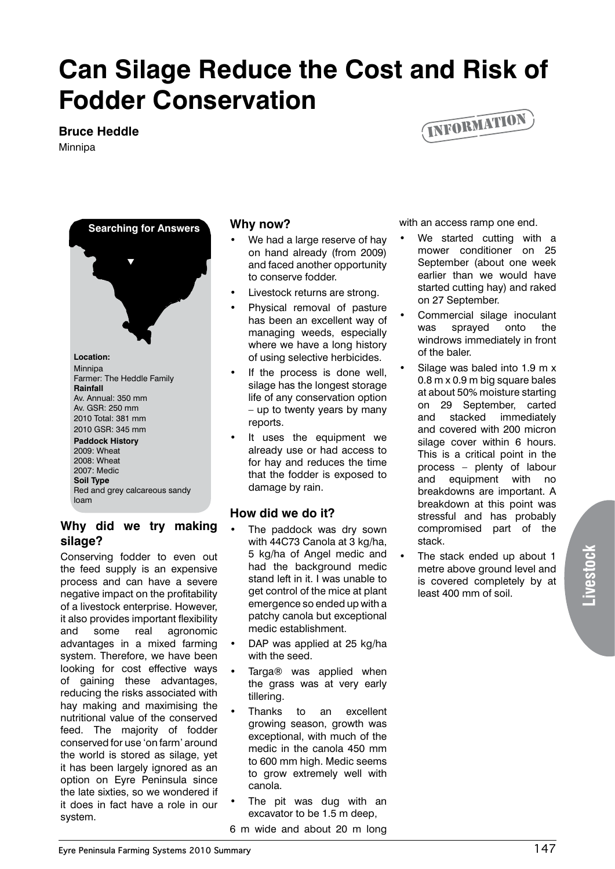### **Can Silage Reduce the Cost and Risk of Fodder Conservation**

#### **Bruce Heddle**

Minnipa





2010 Total: 381 mm 2010 GSR: 345 mm **Paddock History**

#### 2009: Wheat

2008: Wheat 2007: Medic **Soil Type** Red and grey calcareous sandy loam

#### **Why did we try making silage?**

Conserving fodder to even out the feed supply is an expensive process and can have a severe negative impact on the profitability of a livestock enterprise. However, it also provides important flexibility and some real agronomic advantages in a mixed farming system. Therefore, we have been looking for cost effective ways of gaining these advantages, reducing the risks associated with hay making and maximising the nutritional value of the conserved feed. The majority of fodder conserved for use 'on farm' around the world is stored as silage, yet it has been largely ignored as an option on Eyre Peninsula since the late sixties, so we wondered if it does in fact have a role in our system.

#### **Why now?**

- We had a large reserve of hay on hand already (from 2009) and faced another opportunity to conserve fodder.
- Livestock returns are strong.
- Physical removal of pasture has been an excellent way of managing weeds, especially where we have a long history of using selective herbicides.
- If the process is done well. silage has the longest storage life of any conservation option – up to twenty years by many reports.
- It uses the equipment we already use or had access to for hay and reduces the time that the fodder is exposed to damage by rain.

#### **How did we do it?**

- The paddock was dry sown with 44C73 Canola at 3 kg/ha, 5 kg/ha of Angel medic and had the background medic stand left in it. I was unable to get control of the mice at plant emergence so ended up with a patchy canola but exceptional medic establishment.
- DAP was applied at 25 kg/ha with the seed.
- Targa® was applied when the grass was at very early tillering.
- Thanks to an excellent growing season, growth was exceptional, with much of the medic in the canola 450 mm to 600 mm high. Medic seems to grow extremely well with canola.
- The pit was dug with an excavator to be 1.5 m deep,
- 6 m wide and about 20 m long

with an access ramp one end.

- We started cutting with a mower conditioner on 25 September (about one week earlier than we would have started cutting hay) and raked on 27 September.
- Commercial silage inoculant was sprayed onto the windrows immediately in front of the baler.
- Silage was baled into 1.9 m x 0.8 m x 0.9 m big square bales at about 50% moisture starting on 29 September, carted and stacked immediately and covered with 200 micron silage cover within 6 hours. This is a critical point in the process – plenty of labour and equipment with no breakdowns are important. A breakdown at this point was stressful and has probably compromised part of the stack.
- The stack ended up about 1 metre above ground level and is covered completely by at least 400 mm of soil.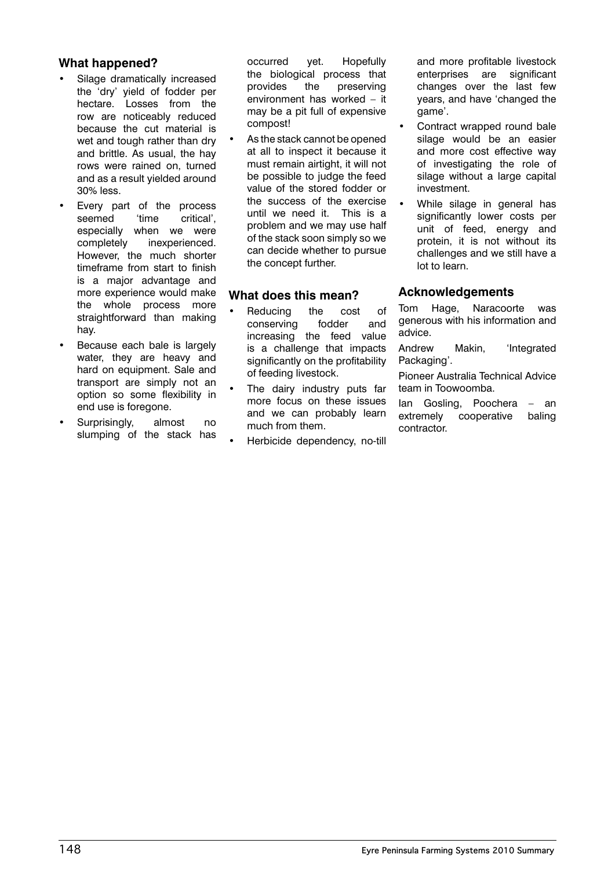#### **What happened?**

- Silage dramatically increased the 'dry' yield of fodder per hectare. Losses from the row are noticeably reduced because the cut material is wet and tough rather than dry and brittle. As usual, the hay rows were rained on, turned and as a result yielded around 30% less.
- Every part of the process seemed 'time critical', especially when we were completely inexperienced. However, the much shorter timeframe from start to finish is a major advantage and more experience would make the whole process more straightforward than making hay.
- Because each bale is largely water, they are heavy and hard on equipment. Sale and transport are simply not an option so some flexibility in end use is foregone.
- Surprisingly, almost no slumping of the stack has

occurred yet. Hopefully the biological process that provides the preserving environment has worked – it may be a pit full of expensive compost!

As the stack cannot be opened at all to inspect it because it must remain airtight, it will not be possible to judge the feed value of the stored fodder or the success of the exercise until we need it. This is a problem and we may use half of the stack soon simply so we can decide whether to pursue the concept further.

#### **What does this mean?**

- Reducing the cost of conserving fodder and increasing the feed value is a challenge that impacts significantly on the profitability of feeding livestock.
- The dairy industry puts far more focus on these issues and we can probably learn much from them.
- Herbicide dependency, no-till

and more profitable livestock enterprises are significant changes over the last few years, and have 'changed the game'.

- Contract wrapped round bale silage would be an easier and more cost effective way of investigating the role of silage without a large capital investment.
- While silage in general has significantly lower costs per unit of feed, energy and protein, it is not without its challenges and we still have a lot to learn.

#### **Acknowledgements**

Tom Hage, Naracoorte was generous with his information and advice.

Andrew Makin, 'Integrated Packaging'.

Pioneer Australia Technical Advice team in Toowoomba.

Ian Gosling, Poochera – an extremely cooperative baling contractor.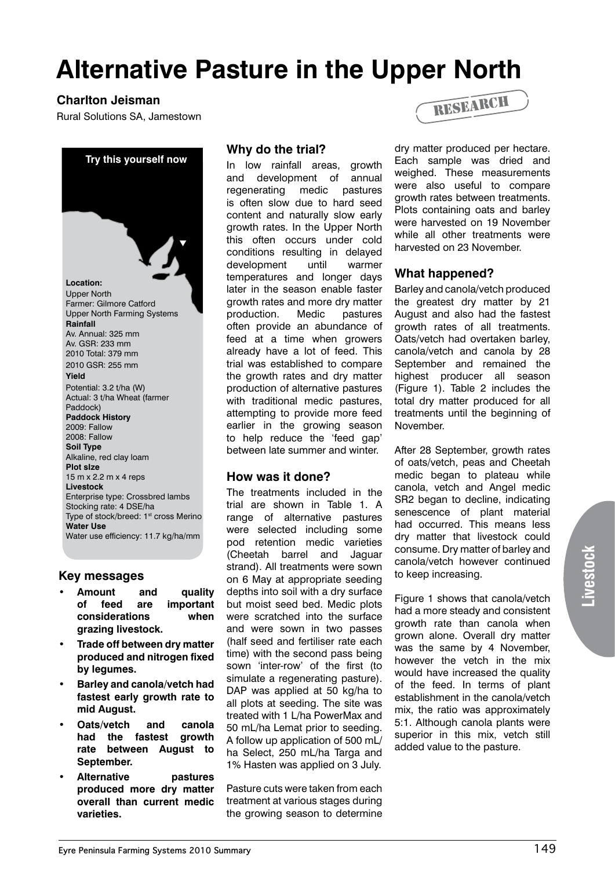### **Alternative Pasture in the Upper North**

#### **Charlton Jeisman**

Rural Solutions SA, Jamestown



#### **Key messages**

- **• Amount and quality of feed are important considerations when grazing livestock.**
- **• Trade off between dry matter produced and nitrogen fixed by legumes.**
- **• Barley and canola/vetch had fastest early growth rate to mid August.**
- **• Oats/vetch and canola had the fastest growth rate between August to September.**
- **• Alternative pastures produced more dry matter overall than current medic varieties.**

#### **Why do the trial?**

In low rainfall areas, growth and development of annual regenerating medic pastures is often slow due to hard seed content and naturally slow early growth rates. In the Upper North this often occurs under cold conditions resulting in delayed development until warmer temperatures and longer days later in the season enable faster growth rates and more dry matter production. Medic pastures often provide an abundance of feed at a time when growers already have a lot of feed. This trial was established to compare the growth rates and dry matter production of alternative pastures with traditional medic pastures, attempting to provide more feed earlier in the growing season to help reduce the 'feed gap' between late summer and winter.

#### **How was it done?**

The treatments included in the trial are shown in Table 1. A range of alternative pastures were selected including some pod retention medic varieties (Cheetah barrel and Jaguar strand). All treatments were sown on 6 May at appropriate seeding depths into soil with a dry surface but moist seed bed. Medic plots were scratched into the surface and were sown in two passes (half seed and fertiliser rate each time) with the second pass being sown 'inter-row' of the first (to simulate a regenerating pasture). DAP was applied at 50 kg/ha to all plots at seeding. The site was treated with 1 L/ha PowerMax and 50 mL/ha Lemat prior to seeding. A follow up application of 500 mL/ ha Select, 250 mL/ha Targa and 1% Hasten was applied on 3 July.

Pasture cuts were taken from each treatment at various stages during the growing season to determine



dry matter produced per hectare. Each sample was dried and weighed. These measurements were also useful to compare growth rates between treatments. Plots containing oats and barley were harvested on 19 November while all other treatments were harvested on 23 November.

#### **What happened?**

Barley and canola/vetch produced the greatest dry matter by 21 August and also had the fastest growth rates of all treatments. Oats/vetch had overtaken barley, canola/vetch and canola by 28 September and remained the highest producer all season (Figure 1). Table 2 includes the total dry matter produced for all treatments until the beginning of November.

After 28 September, growth rates of oats/vetch, peas and Cheetah medic began to plateau while canola, vetch and Angel medic SR2 began to decline, indicating senescence of plant material had occurred. This means less dry matter that livestock could consume. Dry matter of barley and canola/vetch however continued to keep increasing.

Figure 1 shows that canola/vetch had a more steady and consistent growth rate than canola when grown alone. Overall dry matter was the same by 4 November, however the vetch in the mix would have increased the quality of the feed. In terms of plant establishment in the canola/vetch mix, the ratio was approximately 5:1. Although canola plants were superior in this mix, vetch still added value to the pasture.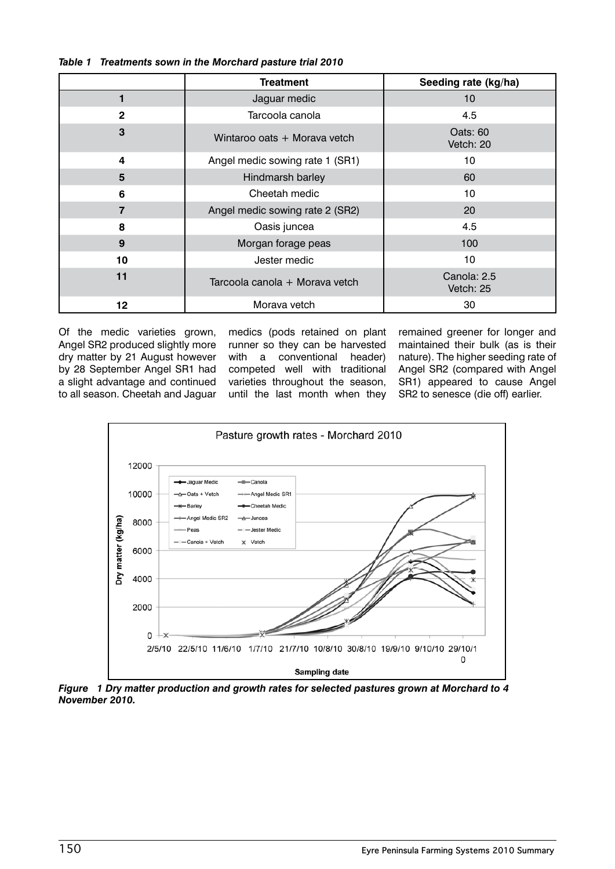|                | <b>Treatment</b>                | Seeding rate (kg/ha)     |
|----------------|---------------------------------|--------------------------|
|                | Jaguar medic                    | 10 <sup>1</sup>          |
| $\mathbf{2}$   | Tarcoola canola                 | 4.5                      |
| 3              | Wintaroo oats + Morava vetch    | Oats: 60<br>Vetch: 20    |
| 4              | Angel medic sowing rate 1 (SR1) | 10                       |
| 5              | Hindmarsh barley                | 60                       |
| 6              | Cheetah medic                   | 10                       |
| $\overline{7}$ | Angel medic sowing rate 2 (SR2) | 20                       |
| 8              | Oasis juncea                    | 4.5                      |
| 9              | Morgan forage peas              | 100                      |
| 10             | Jester medic                    | 10                       |
| 11             | Tarcoola canola + Morava vetch  | Canola: 2.5<br>Vetch: 25 |
| 12             | Morava vetch                    | 30                       |

#### *Table 1 Treatments sown in the Morchard pasture trial 2010*

Of the medic varieties grown, Angel SR2 produced slightly more dry matter by 21 August however by 28 September Angel SR1 had a slight advantage and continued to all season. Cheetah and Jaguar

medics (pods retained on plant runner so they can be harvested with a conventional header) competed well with traditional varieties throughout the season, until the last month when they remained greener for longer and maintained their bulk (as is their nature). The higher seeding rate of Angel SR2 (compared with Angel SR1) appeared to cause Angel SR2 to senesce (die off) earlier.



*Figure 1 Dry matter production and growth rates for selected pastures grown at Morchard to 4 November 2010.*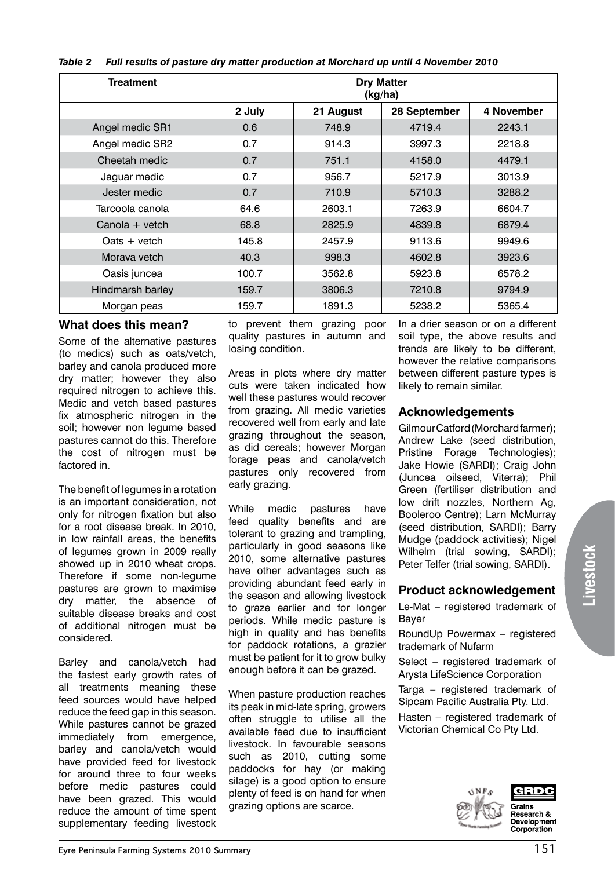|  |  | Table 2 Full results of pasture dry matter production at Morchard up until 4 November 2010 |  |
|--|--|--------------------------------------------------------------------------------------------|--|
|--|--|--------------------------------------------------------------------------------------------|--|

| <b>Treatment</b> | <b>Dry Matter</b><br>(kg/ha) |           |              |            |
|------------------|------------------------------|-----------|--------------|------------|
|                  | 2 July                       | 21 August | 28 September | 4 November |
| Angel medic SR1  | 0.6                          | 748.9     | 4719.4       | 2243.1     |
| Angel medic SR2  | 0.7                          | 914.3     | 3997.3       | 2218.8     |
| Cheetah medic    | 0.7                          | 751.1     | 4158.0       | 4479.1     |
| Jaguar medic     | 0.7                          | 956.7     | 5217.9       | 3013.9     |
| Jester medic     | 0.7                          | 710.9     | 5710.3       | 3288.2     |
| Tarcoola canola  | 64.6                         | 2603.1    | 7263.9       | 6604.7     |
| Canola + vetch   | 68.8                         | 2825.9    | 4839.8       | 6879.4     |
| $0$ ats + vetch  | 145.8                        | 2457.9    | 9113.6       | 9949.6     |
| Morava vetch     | 40.3                         | 998.3     | 4602.8       | 3923.6     |
| Oasis juncea     | 100.7                        | 3562.8    | 5923.8       | 6578.2     |
| Hindmarsh barley | 159.7                        | 3806.3    | 7210.8       | 9794.9     |
| Morgan peas      | 159.7                        | 1891.3    | 5238.2       | 5365.4     |

#### **What does this mean?**

Some of the alternative pastures (to medics) such as oats/vetch, barley and canola produced more dry matter; however they also required nitrogen to achieve this. Medic and vetch based pastures fix atmospheric nitrogen in the soil; however non legume based pastures cannot do this. Therefore the cost of nitrogen must be factored in.

The benefit of legumes in a rotation is an important consideration, not only for nitrogen fixation but also for a root disease break. In 2010, in low rainfall areas, the benefits of legumes grown in 2009 really showed up in 2010 wheat crops. Therefore if some non-legume pastures are grown to maximise dry matter, the absence of suitable disease breaks and cost of additional nitrogen must be considered.

Barley and canola/vetch had the fastest early growth rates of all treatments meaning these feed sources would have helped reduce the feed gap in this season. While pastures cannot be grazed immediately from emergence, barley and canola/vetch would have provided feed for livestock for around three to four weeks before medic pastures could have been grazed. This would reduce the amount of time spent supplementary feeding livestock to prevent them grazing poor quality pastures in autumn and losing condition.

Areas in plots where dry matter cuts were taken indicated how well these pastures would recover from grazing. All medic varieties recovered well from early and late grazing throughout the season, as did cereals; however Morgan forage peas and canola/vetch pastures only recovered from early grazing.

While medic pastures have feed quality benefits and are tolerant to grazing and trampling, particularly in good seasons like 2010, some alternative pastures have other advantages such as providing abundant feed early in the season and allowing livestock to graze earlier and for longer periods. While medic pasture is high in quality and has benefits for paddock rotations, a grazier must be patient for it to grow bulky enough before it can be grazed.

When pasture production reaches its peak in mid-late spring, growers often struggle to utilise all the available feed due to insufficient livestock. In favourable seasons such as 2010, cutting some paddocks for hay (or making silage) is a good option to ensure plenty of feed is on hand for when grazing options are scarce.

In a drier season or on a different soil type, the above results and trends are likely to be different, however the relative comparisons between different pasture types is likely to remain similar.

#### **Acknowledgements**

Gilmour Catford (Morchard farmer); Andrew Lake (seed distribution, Pristine Forage Technologies); Jake Howie (SARDI); Craig John (Juncea oilseed, Viterra); Phil Green (fertiliser distribution and low drift nozzles, Northern Ag, Booleroo Centre); Larn McMurray (seed distribution, SARDI); Barry Mudge (paddock activities); Nigel Wilhelm (trial sowing, SARDI); Peter Telfer (trial sowing, SARDI).

#### **Product acknowledgement**

Le-Mat – registered trademark of Bayer

RoundUp Powermax – registered trademark of Nufarm

Select – registered trademark of Arysta LifeScience Corporation

Targa – registered trademark of Sipcam Pacific Australia Pty. Ltd.

Hasten – registered trademark of Victorian Chemical Co Pty Ltd.

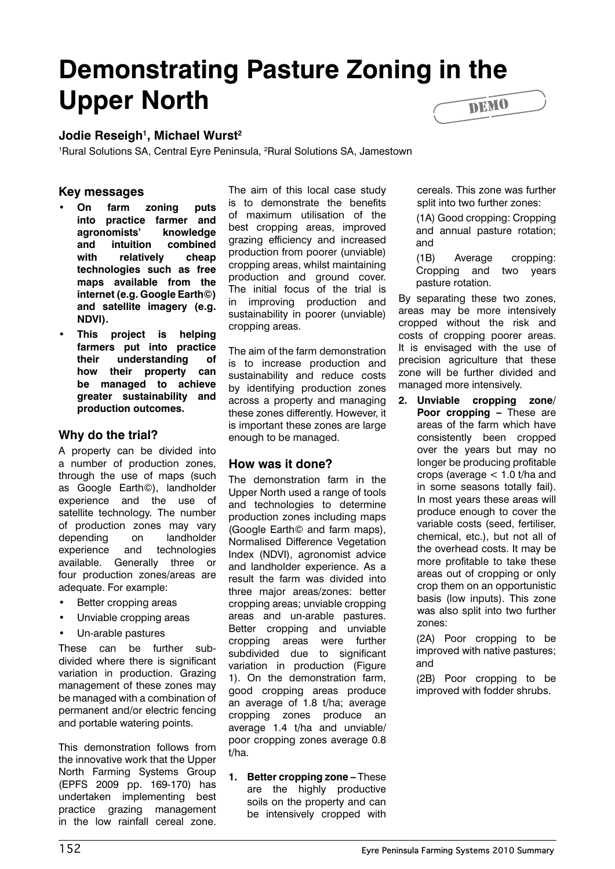### **Demonstrating Pasture Zoning in the Upper North** DEMO

#### **Jodie Reseigh1 , Michael Wurst2**

<sup>1</sup>Rural Solutions SA, Central Eyre Peninsula, <sup>2</sup>Rural Solutions SA, Jamestown

#### **Key messages**

- **• On farm zoning puts into practice farmer and agronomists' knowledge and intuition combined with relatively cheap technologies such as free maps available from the internet (e.g. Google Earth©) and satellite imagery (e.g. NDVI).**
- **• This project is helping farmers put into practice their understanding of how their property can be managed to achieve greater sustainability and production outcomes.**

#### **Why do the trial?**

A property can be divided into a number of production zones, through the use of maps (such as Google Earth©), landholder experience and the use of satellite technology. The number of production zones may vary depending on landholder experience and technologies available. Generally three or four production zones/areas are adequate. For example:

- Better cropping areas
- Unviable cropping areas
- Un-arable pastures

These can be further subdivided where there is significant variation in production. Grazing management of these zones may be managed with a combination of permanent and/or electric fencing and portable watering points.

This demonstration follows from the innovative work that the Upper North Farming Systems Group (EPFS 2009 pp. 169-170) has undertaken implementing best practice grazing management in the low rainfall cereal zone. The aim of this local case study is to demonstrate the benefits of maximum utilisation of the best cropping areas, improved grazing efficiency and increased production from poorer (unviable) cropping areas, whilst maintaining production and ground cover. The initial focus of the trial is in improving production and sustainability in poorer (unviable) cropping areas.

The aim of the farm demonstration is to increase production and sustainability and reduce costs by identifying production zones across a property and managing these zones differently. However, it is important these zones are large enough to be managed.

#### **How was it done?**

The demonstration farm in the Upper North used a range of tools and technologies to determine production zones including maps (Google Earth© and farm maps), Normalised Difference Vegetation Index (NDVI), agronomist advice and landholder experience. As a result the farm was divided into three major areas/zones: better cropping areas; unviable cropping areas and un-arable pastures. Better cropping and unviable cropping areas were further subdivided due to significant variation in production (Figure 1). On the demonstration farm, good cropping areas produce an average of 1.8 t/ha; average cropping zones produce an average 1.4 t/ha and unviable/ poor cropping zones average 0.8 t/ha.

**1. Better cropping zone –** These are the highly productive soils on the property and can be intensively cropped with cereals. This zone was further split into two further zones:

(1A) Good cropping: Cropping and annual pasture rotation; and

(1B) Average cropping: Cropping and two years pasture rotation.

By separating these two zones, areas may be more intensively cropped without the risk and costs of cropping poorer areas. It is envisaged with the use of precision agriculture that these zone will be further divided and managed more intensively.

**2. Unviable cropping zone/ Poor cropping –** These are areas of the farm which have consistently been cropped over the years but may no longer be producing profitable crops (average < 1.0 t/ha and in some seasons totally fail). In most years these areas will produce enough to cover the variable costs (seed, fertiliser, chemical, etc.), but not all of the overhead costs. It may be more profitable to take these areas out of cropping or only crop them on an opportunistic basis (low inputs). This zone was also split into two further zones:

> (2A) Poor cropping to be improved with native pastures; and

> (2B) Poor cropping to be improved with fodder shrubs.